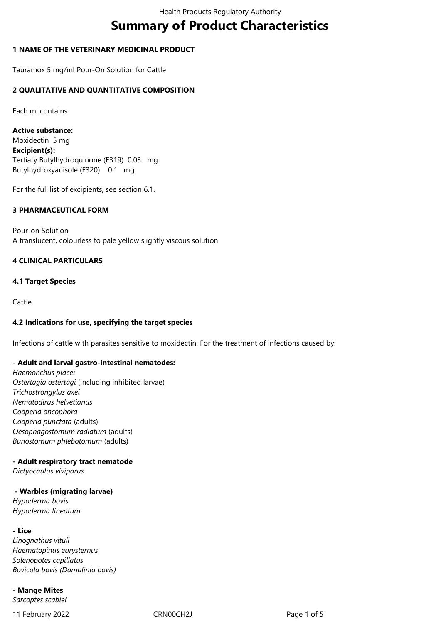# **Summary of Product Characteristics**

# **1 NAME OF THE VETERINARY MEDICINAL PRODUCT**

Tauramox 5 mg/ml Pour-On Solution for Cattle

# **2 QUALITATIVE AND QUANTITATIVE COMPOSITION**

Each ml contains:

**Active substance:**  Moxidectin 5 mg **Excipient(s):**  Tertiary Butylhydroquinone (E319) 0.03 mg Butylhydroxyanisole (E320) 0.1 mg

For the full list of excipients, see section 6.1.

# **3 PHARMACEUTICAL FORM**

Pour-on Solution A translucent, colourless to pale yellow slightly viscous solution

# **4 CLINICAL PARTICULARS**

#### **4.1 Target Species**

Cattle.

#### **4.2 Indications for use, specifying the target species**

Infections of cattle with parasites sensitive to moxidectin. For the treatment of infections caused by:

#### **- Adult and larval gastro-intestinal nematodes:**

*Haemonchus placei Ostertagia ostertagi* (including inhibited larvae) *Trichostrongylus axei Nematodirus helvetianus Cooperia oncophora Cooperia punctata* (adults) *Oesophagostomum radiatum* (adults) *Bunostomum phlebotomum* (adults)

#### **- Adult respiratory tract nematode**

*Dictyocaulus viviparus*

#### **- Warbles (migrating larvae)**

*Hypoderma bovis Hypoderma lineatum*

#### **- Lice**

*Linognathus vituli Haematopinus eurysternus Solenopotes capillatus Bovicola bovis (Damalinia bovis)*

#### **- Mange Mites**

*Sarcoptes scabiei*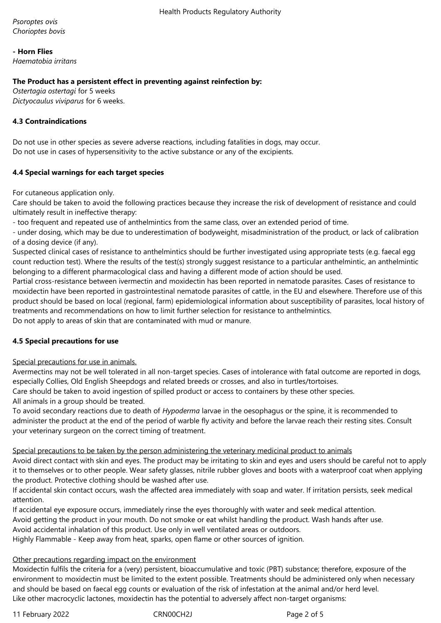*Psoroptes ovis Chorioptes bovis*

**- Horn Flies**

*Haematobia irritans*

## **The Product has a persistent effect in preventing against reinfection by:**

*Ostertagia ostertagi* for 5 weeks *Dictyocaulus viviparus* for 6 weeks.

# **4.3 Contraindications**

Do not use in other species as severe adverse reactions, including fatalities in dogs, may occur. Do not use in cases of hypersensitivity to the active substance or any of the excipients.

# **4.4 Special warnings for each target species**

For cutaneous application only.

Care should be taken to avoid the following practices because they increase the risk of development of resistance and could ultimately result in ineffective therapy:

- too frequent and repeated use of anthelmintics from the same class, over an extended period of time.

- under dosing, which may be due to underestimation of bodyweight, misadministration of the product, or lack of calibration of a dosing device (if any).

Suspected clinical cases of resistance to anthelmintics should be further investigated using appropriate tests (e.g. faecal egg count reduction test). Where the results of the test(s) strongly suggest resistance to a particular anthelmintic, an anthelmintic belonging to a different pharmacological class and having a different mode of action should be used.

Partial cross-resistance between ivermectin and moxidectin has been reported in nematode parasites. Cases of resistance to moxidectin have been reported in gastrointestinal nematode parasites of cattle, in the EU and elsewhere. Therefore use of this product should be based on local (regional, farm) epidemiological information about susceptibility of parasites, local history of treatments and recommendations on how to limit further selection for resistance to anthelmintics.

Do not apply to areas of skin that are contaminated with mud or manure.

# **4.5 Special precautions for use**

# Special precautions for use in animals.

Avermectins may not be well tolerated in all non-target species. Cases of intolerance with fatal outcome are reported in dogs, especially Collies, Old English Sheepdogs and related breeds or crosses, and also in turtles/tortoises.

Care should be taken to avoid ingestion of spilled product or access to containers by these other species.

All animals in a group should be treated.

To avoid secondary reactions due to death of *Hypoderma* larvae in the oesophagus or the spine, it is recommended to administer the product at the end of the period of warble fly activity and before the larvae reach their resting sites. Consult your veterinary surgeon on the correct timing of treatment.

#### Special precautions to be taken by the person administering the veterinary medicinal product to animals

Avoid direct contact with skin and eyes. The product may be irritating to skin and eyes and users should be careful not to apply it to themselves or to other people. Wear safety glasses, nitrile rubber gloves and boots with a waterproof coat when applying the product. Protective clothing should be washed after use.

If accidental skin contact occurs, wash the affected area immediately with soap and water. If irritation persists, seek medical attention.

If accidental eye exposure occurs, immediately rinse the eyes thoroughly with water and seek medical attention.

Avoid getting the product in your mouth. Do not smoke or eat whilst handling the product. Wash hands after use.

Avoid accidental inhalation of this product. Use only in well ventilated areas or outdoors.

Highly Flammable - Keep away from heat, sparks, open flame or other sources of ignition.

# Other precautions regarding impact on the environment

Moxidectin fulfils the criteria for a (very) persistent, bioaccumulative and toxic (PBT) substance; therefore, exposure of the environment to moxidectin must be limited to the extent possible. Treatments should be administered only when necessary and should be based on faecal egg counts or evaluation of the risk of infestation at the animal and/or herd level. Like other macrocyclic lactones, moxidectin has the potential to adversely affect non-target organisms:

11 February 2022 **CRNOOCH2J** CRNOOCH2J Page 2 of 5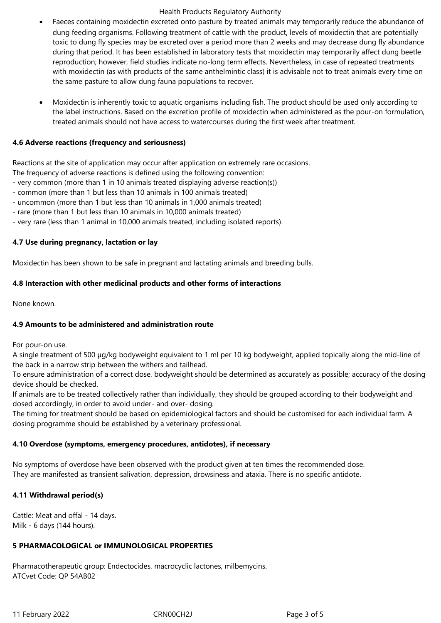#### Health Products Regulatory Authority

- Faeces containing moxidectin excreted onto pasture by treated animals may temporarily reduce the abundance of dung feeding organisms. Following treatment of cattle with the product, levels of moxidectin that are potentially toxic to dung fly species may be excreted over a period more than 2 weeks and may decrease dung fly abundance during that period. It has been established in laboratory tests that moxidectin may temporarily affect dung beetle reproduction; however, field studies indicate no-long term effects. Nevertheless, in case of repeated treatments with moxidectin (as with products of the same anthelmintic class) it is advisable not to treat animals every time on the same pasture to allow dung fauna populations to recover.
- Moxidectin is inherently toxic to aquatic organisms including fish. The product should be used only according to the label instructions. Based on the excretion profile of moxidectin when administered as the pour-on formulation, treated animals should not have access to watercourses during the first week after treatment.

# **4.6 Adverse reactions (frequency and seriousness)**

Reactions at the site of application may occur after application on extremely rare occasions.

The frequency of adverse reactions is defined using the following convention:

- very common (more than 1 in 10 animals treated displaying adverse reaction(s))
- common (more than 1 but less than 10 animals in 100 animals treated)
- uncommon (more than 1 but less than 10 animals in 1,000 animals treated)
- rare (more than 1 but less than 10 animals in 10,000 animals treated)
- very rare (less than 1 animal in 10,000 animals treated, including isolated reports).

#### **4.7 Use during pregnancy, lactation or lay**

Moxidectin has been shown to be safe in pregnant and lactating animals and breeding bulls.

# **4.8 Interaction with other medicinal products and other forms of interactions**

None known.

# **4.9 Amounts to be administered and administration route**

For pour-on use.

A single treatment of 500 μg/kg bodyweight equivalent to 1 ml per 10 kg bodyweight, applied topically along the mid-line of the back in a narrow strip between the withers and tailhead.

To ensure administration of a correct dose, bodyweight should be determined as accurately as possible; accuracy of the dosing device should be checked.

If animals are to be treated collectively rather than individually, they should be grouped according to their bodyweight and dosed accordingly, in order to avoid under- and over- dosing.

The timing for treatment should be based on epidemiological factors and should be customised for each individual farm. A dosing programme should be established by a veterinary professional.

#### **4.10 Overdose (symptoms, emergency procedures, antidotes), if necessary**

No symptoms of overdose have been observed with the product given at ten times the recommended dose. They are manifested as transient salivation, depression, drowsiness and ataxia. There is no specific antidote.

# **4.11 Withdrawal period(s)**

Cattle: Meat and offal - 14 days. Milk - 6 days (144 hours).

#### **5 PHARMACOLOGICAL or IMMUNOLOGICAL PROPERTIES**

Pharmacotherapeutic group: Endectocides, macrocyclic lactones, milbemycins. ATCvet Code: QP 54AB02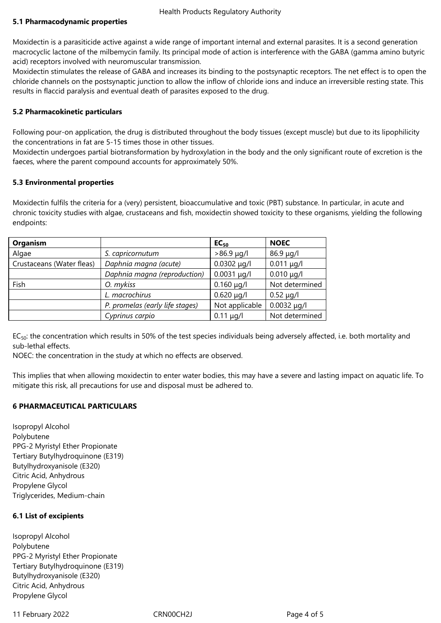## **5.1 Pharmacodynamic properties**

Moxidectin is a parasiticide active against a wide range of important internal and external parasites. It is a second generation macrocyclic lactone of the milbemycin family. Its principal mode of action is interference with the GABA (gamma amino butyric acid) receptors involved with neuromuscular transmission.

Moxidectin stimulates the release of GABA and increases its binding to the postsynaptic receptors. The net effect is to open the chloride channels on the postsynaptic junction to allow the inflow of chloride ions and induce an irreversible resting state. This results in flaccid paralysis and eventual death of parasites exposed to the drug.

# **5.2 Pharmacokinetic particulars**

Following pour-on application, the drug is distributed throughout the body tissues (except muscle) but due to its lipophilicity the concentrations in fat are 5-15 times those in other tissues.

Moxidectin undergoes partial biotransformation by hydroxylation in the body and the only significant route of excretion is the faeces, where the parent compound accounts for approximately 50%.

#### **5.3 Environmental properties**

Moxidectin fulfils the criteria for a (very) persistent, bioaccumulative and toxic (PBT) substance. In particular, in acute and chronic toxicity studies with algae, crustaceans and fish, moxidectin showed toxicity to these organisms, yielding the following endpoints:

| Organism                  |                                 | $EC_{50}$        | <b>NOEC</b>      |
|---------------------------|---------------------------------|------------------|------------------|
| Algae                     | S. capricornutum                | $>86.9 \mu g/l$  | $86.9 \mu g/l$   |
| Crustaceans (Water fleas) | Daphnia magna (acute)           | $0.0302 \mu g/l$ | $0.011 \mu g/l$  |
|                           | Daphnia magna (reproduction)    | $0.0031 \mu g/l$ | $0.010 \mu q/l$  |
| Fish                      | O. mykiss                       | $0.160 \mu g/l$  | Not determined   |
|                           | L. macrochirus                  | $0.620 \mu q/l$  | $0.52 \mu q/l$   |
|                           | P. promelas (early life stages) | Not applicable   | $0.0032 \mu q/l$ |
|                           | Cyprinus carpio                 | $0.11 \mu g/l$   | Not determined   |

 $EC_{50}$ : the concentration which results in 50% of the test species individuals being adversely affected, i.e. both mortality and sub-lethal effects.

NOEC: the concentration in the study at which no effects are observed.

This implies that when allowing moxidectin to enter water bodies, this may have a severe and lasting impact on aquatic life. To mitigate this risk, all precautions for use and disposal must be adhered to.

#### **6 PHARMACEUTICAL PARTICULARS**

Isopropyl Alcohol Polybutene PPG-2 Myristyl Ether Propionate Tertiary Butylhydroquinone (E319) Butylhydroxyanisole (E320) Citric Acid, Anhydrous Propylene Glycol Triglycerides, Medium-chain

# **6.1 List of excipients**

Isopropyl Alcohol Polybutene PPG-2 Myristyl Ether Propionate Tertiary Butylhydroquinone (E319) Butylhydroxyanisole (E320) Citric Acid, Anhydrous Propylene Glycol